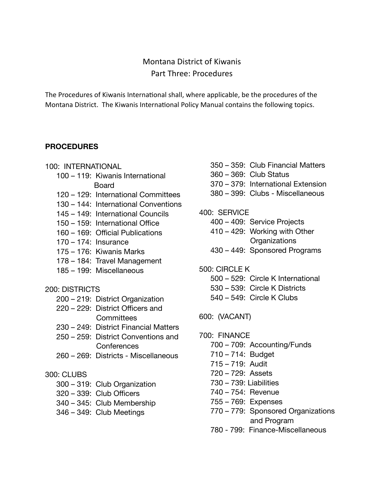# Montana District of Kiwanis Part Three: Procedures

The Procedures of Kiwanis International shall, where applicable, be the procedures of the Montana District. The Kiwanis International Policy Manual contains the following topics.

### **PROCEDURES**

- 100: INTERNATIONAL
	- 100 119: Kiwanis International Board
	- 120 129: International Committees
	- 130 144: International Conventions
	- 145 149: International Councils
	- 150 159: International Office
	- 160 169: Official Publications
	- 170 174: Insurance
	- 175 176: Kiwanis Marks
	- 178 184: Travel Management
	- 185 199: Miscellaneous

#### 200: DISTRICTS

- 200 219: District Organization
- 220 229: District Officers and **Committees**
- 230 249: District Financial Matters
- 250 259: District Conventions and **Conferences**
- 260 269: Districts Miscellaneous

# 300: CLUBS

- 300 319: Club Organization
- 320 339: Club Officers
- 340 345: Club Membership
- 346 349: Club Meetings
- 350 359: Club Financial Matters
- 360 369: Club Status
- 370 379: International Extension
- 380 399: Clubs Miscellaneous

### 400: SERVICE

- 400 409: Service Projects
- 410 429: Working with Other **Organizations**
- 430 449: Sponsored Programs
- 500: CIRCLE K
	- 500 529: Circle K International
	- 530 539: Circle K Districts
	- 540 549: Circle K Clubs

600: (VACANT)

- 700: FINANCE
	- 700 709: Accounting/Funds
	- 710 714: Budget
	- 715 719: Audit
	- 720 729: Assets
	- 730 739: Liabilities
	- 740 754: Revenue
	- 755 769: Expenses
	- 770 779: Sponsored Organizations and Program
	- 780 799: Finance-Miscellaneous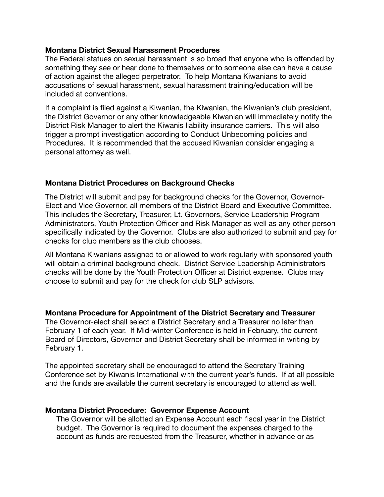#### **Montana District Sexual Harassment Procedures**

The Federal statues on sexual harassment is so broad that anyone who is offended by something they see or hear done to themselves or to someone else can have a cause of action against the alleged perpetrator. To help Montana Kiwanians to avoid accusations of sexual harassment, sexual harassment training/education will be included at conventions.

If a complaint is filed against a Kiwanian, the Kiwanian, the Kiwanian's club president, the District Governor or any other knowledgeable Kiwanian will immediately notify the District Risk Manager to alert the Kiwanis liability insurance carriers. This will also trigger a prompt investigation according to Conduct Unbecoming policies and Procedures. It is recommended that the accused Kiwanian consider engaging a personal attorney as well.

#### **Montana District Procedures on Background Checks**

The District will submit and pay for background checks for the Governor, Governor-Elect and Vice Governor, all members of the District Board and Executive Committee. This includes the Secretary, Treasurer, Lt. Governors, Service Leadership Program Administrators, Youth Protection Officer and Risk Manager as well as any other person specifically indicated by the Governor. Clubs are also authorized to submit and pay for checks for club members as the club chooses.

All Montana Kiwanians assigned to or allowed to work regularly with sponsored youth will obtain a criminal background check. District Service Leadership Administrators checks will be done by the Youth Protection Officer at District expense. Clubs may choose to submit and pay for the check for club SLP advisors.

**Montana Procedure for Appointment of the District Secretary and Treasurer** 

The Governor-elect shall select a District Secretary and a Treasurer no later than February 1 of each year. If Mid-winter Conference is held in February, the current Board of Directors, Governor and District Secretary shall be informed in writing by February 1.

The appointed secretary shall be encouraged to attend the Secretary Training Conference set by Kiwanis International with the current year's funds. If at all possible and the funds are available the current secretary is encouraged to attend as well.

#### **Montana District Procedure: Governor Expense Account**

The Governor will be allotted an Expense Account each fiscal year in the District budget. The Governor is required to document the expenses charged to the account as funds are requested from the Treasurer, whether in advance or as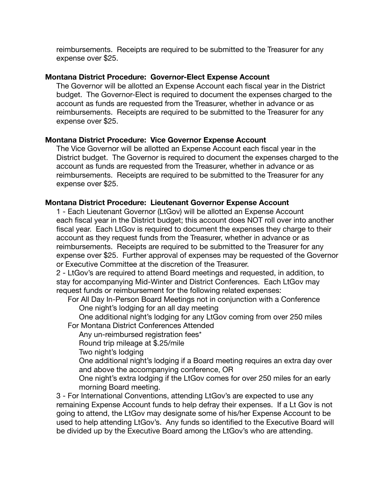reimbursements. Receipts are required to be submitted to the Treasurer for any expense over \$25.

#### **Montana District Procedure: Governor-Elect Expense Account**

The Governor will be allotted an Expense Account each fiscal year in the District budget. The Governor-Elect is required to document the expenses charged to the account as funds are requested from the Treasurer, whether in advance or as reimbursements. Receipts are required to be submitted to the Treasurer for any expense over \$25.

#### **Montana District Procedure: Vice Governor Expense Account**

The Vice Governor will be allotted an Expense Account each fiscal year in the District budget. The Governor is required to document the expenses charged to the account as funds are requested from the Treasurer, whether in advance or as reimbursements. Receipts are required to be submitted to the Treasurer for any expense over \$25.

#### **Montana District Procedure: Lieutenant Governor Expense Account**

1 - Each Lieutenant Governor (LtGov) will be allotted an Expense Account each fiscal year in the District budget; this account does NOT roll over into another fiscal year. Each LtGov is required to document the expenses they charge to their account as they request funds from the Treasurer, whether in advance or as reimbursements. Receipts are required to be submitted to the Treasurer for any expense over \$25. Further approval of expenses may be requested of the Governor or Executive Committee at the discretion of the Treasurer.

2 - LtGov's are required to attend Board meetings and requested, in addition, to stay for accompanying Mid-Winter and District Conferences. Each LtGov may request funds or reimbursement for the following related expenses:

For All Day In-Person Board Meetings not in conjunction with a Conference One night's lodging for an all day meeting

One additional night's lodging for any LtGov coming from over 250 miles For Montana District Conferences Attended

Any un-reimbursed registration fees\*

Round trip mileage at \$.25/mile

Two night's lodging

One additional night's lodging if a Board meeting requires an extra day over and above the accompanying conference, OR

One night's extra lodging if the LtGov comes for over 250 miles for an early morning Board meeting.

3 - For International Conventions, attending LtGov's are expected to use any remaining Expense Account funds to help defray their expenses. If a Lt Gov is not going to attend, the LtGov may designate some of his/her Expense Account to be used to help attending LtGov's. Any funds so identified to the Executive Board will be divided up by the Executive Board among the LtGov's who are attending.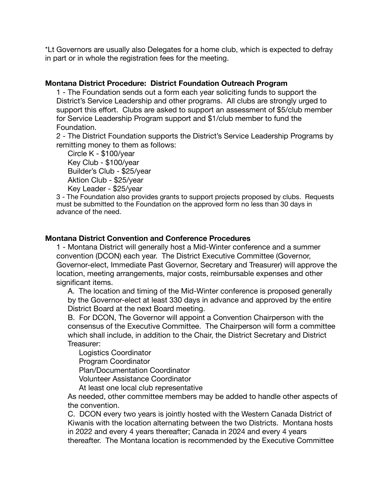\*Lt Governors are usually also Delegates for a home club, which is expected to defray in part or in whole the registration fees for the meeting.

#### **Montana District Procedure: District Foundation Outreach Program**

1 - The Foundation sends out a form each year soliciting funds to support the District's Service Leadership and other programs. All clubs are strongly urged to support this effort. Clubs are asked to support an assessment of \$5/club member for Service Leadership Program support and \$1/club member to fund the Foundation.

2 - The District Foundation supports the District's Service Leadership Programs by remitting money to them as follows:

Circle K - \$100/year Key Club - \$100/year Builder's Club - \$25/year Aktion Club - \$25/year Key Leader - \$25/year

3 - The Foundation also provides grants to support projects proposed by clubs. Requests must be submitted to the Foundation on the approved form no less than 30 days in advance of the need.

#### **Montana District Convention and Conference Procedures**

1 - Montana District will generally host a Mid-Winter conference and a summer convention (DCON) each year. The District Executive Committee (Governor, Governor-elect, Immediate Past Governor, Secretary and Treasurer) will approve the location, meeting arrangements, major costs, reimbursable expenses and other significant items.

A. The location and timing of the Mid-Winter conference is proposed generally by the Governor-elect at least 330 days in advance and approved by the entire District Board at the next Board meeting.

B. For DCON, The Governor will appoint a Convention Chairperson with the consensus of the Executive Committee. The Chairperson will form a committee which shall include, in addition to the Chair, the District Secretary and District Treasurer:

Logistics Coordinator

Program Coordinator

Plan/Documentation Coordinator

Volunteer Assistance Coordinator

At least one local club representative

As needed, other committee members may be added to handle other aspects of the convention.

C. DCON every two years is jointly hosted with the Western Canada District of Kiwanis with the location alternating between the two Districts. Montana hosts in 2022 and every 4 years thereafter; Canada in 2024 and every 4 years thereafter. The Montana location is recommended by the Executive Committee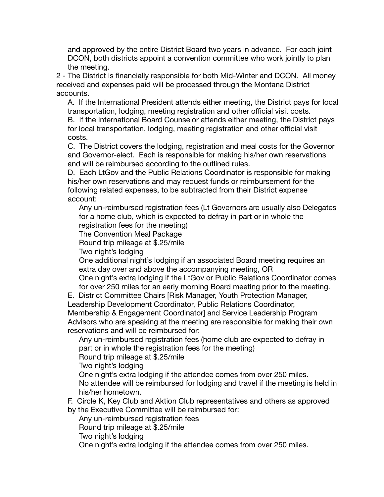and approved by the entire District Board two years in advance. For each joint DCON, both districts appoint a convention committee who work jointly to plan the meeting.

2 - The District is financially responsible for both Mid-Winter and DCON. All money received and expenses paid will be processed through the Montana District accounts.

A. If the International President attends either meeting, the District pays for local transportation, lodging, meeting registration and other official visit costs.

B. If the International Board Counselor attends either meeting, the District pays for local transportation, lodging, meeting registration and other official visit costs.

C. The District covers the lodging, registration and meal costs for the Governor and Governor-elect. Each is responsible for making his/her own reservations and will be reimbursed according to the outlined rules.

D. Each LtGov and the Public Relations Coordinator is responsible for making his/her own reservations and may request funds or reimbursement for the following related expenses, to be subtracted from their District expense account:

Any un-reimbursed registration fees (Lt Governors are usually also Delegates for a home club, which is expected to defray in part or in whole the registration fees for the meeting)

The Convention Meal Package

Round trip mileage at \$.25/mile

Two night's lodging

One additional night's lodging if an associated Board meeting requires an extra day over and above the accompanying meeting, OR

One night's extra lodging if the LtGov or Public Relations Coordinator comes for over 250 miles for an early morning Board meeting prior to the meeting.

E. District Committee Chairs [Risk Manager, Youth Protection Manager, Leadership Development Coordinator, Public Relations Coordinator,

Membership & Engagement Coordinator] and Service Leadership Program Advisors who are speaking at the meeting are responsible for making their own reservations and will be reimbursed for:

Any un-reimbursed registration fees (home club are expected to defray in part or in whole the registration fees for the meeting)

Round trip mileage at \$.25/mile

Two night's lodging

One night's extra lodging if the attendee comes from over 250 miles.

No attendee will be reimbursed for lodging and travel if the meeting is held in his/her hometown.

F. Circle K, Key Club and Aktion Club representatives and others as approved

by the Executive Committee will be reimbursed for:

Any un-reimbursed registration fees

Round trip mileage at \$.25/mile

Two night's lodging

One night's extra lodging if the attendee comes from over 250 miles.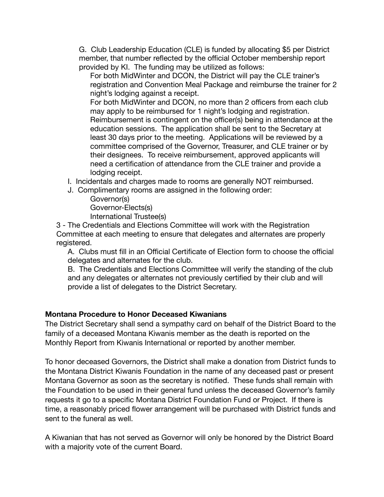G. Club Leadership Education (CLE) is funded by allocating \$5 per District member, that number reflected by the official October membership report provided by KI. The funding may be utilized as follows:

For both MidWinter and DCON, the District will pay the CLE trainer's registration and Convention Meal Package and reimburse the trainer for 2 night's lodging against a receipt.

For both MidWinter and DCON, no more than 2 officers from each club may apply to be reimbursed for 1 night's lodging and registration. Reimbursement is contingent on the officer(s) being in attendance at the education sessions. The application shall be sent to the Secretary at least 30 days prior to the meeting. Applications will be reviewed by a committee comprised of the Governor, Treasurer, and CLE trainer or by their designees. To receive reimbursement, approved applicants will need a certification of attendance from the CLE trainer and provide a lodging receipt.

I. Incidentals and charges made to rooms are generally NOT reimbursed.

J. Complimentary rooms are assigned in the following order:

Governor(s) Governor-Elects(s) International Trustee(s)

3 - The Credentials and Elections Committee will work with the Registration Committee at each meeting to ensure that delegates and alternates are properly registered.

A. Clubs must fill in an Official Certificate of Election form to choose the official delegates and alternates for the club.

B. The Credentials and Elections Committee will verify the standing of the club and any delegates or alternates not previously certified by their club and will provide a list of delegates to the District Secretary.

# **Montana Procedure to Honor Deceased Kiwanians**

The District Secretary shall send a sympathy card on behalf of the District Board to the family of a deceased Montana Kiwanis member as the death is reported on the Monthly Report from Kiwanis International or reported by another member.

To honor deceased Governors, the District shall make a donation from District funds to the Montana District Kiwanis Foundation in the name of any deceased past or present Montana Governor as soon as the secretary is notified. These funds shall remain with the Foundation to be used in their general fund unless the deceased Governor's family requests it go to a specific Montana District Foundation Fund or Project. If there is time, a reasonably priced flower arrangement will be purchased with District funds and sent to the funeral as well.

A Kiwanian that has not served as Governor will only be honored by the District Board with a majority vote of the current Board.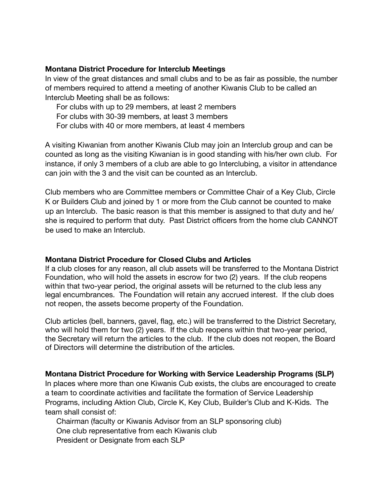#### **Montana District Procedure for Interclub Meetings**

In view of the great distances and small clubs and to be as fair as possible, the number of members required to attend a meeting of another Kiwanis Club to be called an Interclub Meeting shall be as follows:

For clubs with up to 29 members, at least 2 members For clubs with 30-39 members, at least 3 members For clubs with 40 or more members, at least 4 members

A visiting Kiwanian from another Kiwanis Club may join an Interclub group and can be counted as long as the visiting Kiwanian is in good standing with his/her own club. For instance, if only 3 members of a club are able to go Interclubing, a visitor in attendance can join with the 3 and the visit can be counted as an Interclub.

Club members who are Committee members or Committee Chair of a Key Club, Circle K or Builders Club and joined by 1 or more from the Club cannot be counted to make up an Interclub. The basic reason is that this member is assigned to that duty and he/ she is required to perform that duty. Past District officers from the home club CANNOT be used to make an Interclub.

#### **Montana District Procedure for Closed Clubs and Articles**

If a club closes for any reason, all club assets will be transferred to the Montana District Foundation, who will hold the assets in escrow for two (2) years. If the club reopens within that two-year period, the original assets will be returned to the club less any legal encumbrances. The Foundation will retain any accrued interest. If the club does not reopen, the assets become property of the Foundation.

Club articles (bell, banners, gavel, flag, etc.) will be transferred to the District Secretary, who will hold them for two (2) years. If the club reopens within that two-year period, the Secretary will return the articles to the club. If the club does not reopen, the Board of Directors will determine the distribution of the articles.

# **Montana District Procedure for Working with Service Leadership Programs (SLP)**

In places where more than one Kiwanis Cub exists, the clubs are encouraged to create a team to coordinate activities and facilitate the formation of Service Leadership Programs, including Aktion Club, Circle K, Key Club, Builder's Club and K-Kids. The team shall consist of:

Chairman (faculty or Kiwanis Advisor from an SLP sponsoring club) One club representative from each Kiwanis club President or Designate from each SLP